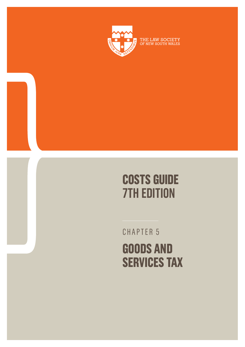

THE LAW SOCIETY<br>OF NEW SOUTH WALES

# **COSTS GUIDE 7TH EDITION**

CHAPTER 5

# **GOODS AND SERVICES TAX**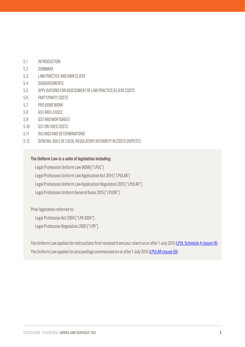- 5.1 INTRODUCTION
- 5.2 SUMMARY
- 5.3 LAW PRACTICE AND OWN CLIENT
- 5.4 DISBURSEMENTS
- 5.5 APPLICATIONS FOR ASSESSMENT OF LAW PRACTICE/CLIENT COSTS
- 5.6 PARTY/PARTY COSTS
- 5.7 PRO BONO WORK
- 5.8 GST AND LEASES
- 5.9 GST AND MORTGAGES
- 5.10 GST ON FIXED COSTS
- 5.11 RULINGS AND DETERMINATIONS
- 5.12 GENERAL ROLE OF LOCAL REGULATORY AUTHORITY IN COSTS DISPUTES

#### **The Uniform Law is a suite of legislation including:**

Legal Profession Uniform Law (NSW) ["LPUL"]

Legal Profession Uniform Law Application Act 2014 ["LPULAA"]

Legal Profession Uniform Law Application Regulation 2015 ["LPULAR"]

Legal Profession Uniform General Rules 2015 ["LPUGR"]

Prior legislation referred to:

Legal Profession Act 2004 ["LPA 2004"]

Legal Profession Regulation 2005 ["LPR"]

The Uniform Law applies for instructions first received from your client on or after 1 July 2015 ([LPUL Schedule 4 clause 18](http://www.austlii.edu.au/au/legis/nsw/consol_act/lpul333/sch4.html)). The Uniform Law applies for proceedings commenced on or after 1 July 2015 [\(LPULAR](http://www.austlii.edu.au/au/legis/nsw/consol_reg/lpular2015497/s59.html) clause 59).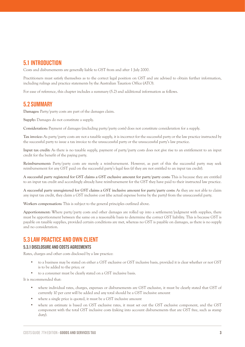# **5.1 INTRODUCTION**

Costs and disbursements are generally liable to GST from and after 1 July 2000.

Practitioners must satisfy themselves as to the correct legal position on GST and are advised to obtain further information, including rulings and practice statements by the Australian Taxation Office (ATO).

For ease of reference, this chapter includes a summary (5.2) and additional information as follows.

#### **5.2 SUMMARY**

**Damages:** Party/party costs are part of the damages claim.

**Supply:** Damages do not constitute a supply.

**Consideration:** Payment of damages (including party/party costs) does not constitute consideration for a supply.

**Tax invoice:** As party/party costs are not a taxable supply, it is incorrect for the successful party or the law practice instructed by the successful party to issue a tax invoice to the unsuccessful party or the unsuccessful party's law practice.

**Input tax credit:** As there is no taxable supply, payment of party/party costs does not give rise to an entitlement to an input credit for the benefit of the paying party.

**Reimbursement:** Party/party costs are merely a reimbursement. However, as part of this the successful party may seek reimbursement for any GST paid on the successful party's legal fees (if they are not entitled to an input tax credit).

**A successful party registered for GST claims a GST exclusive amount for party/party costs:** This is because they are entitled to an input tax credit and accordingly already have reimbursement for the GST they have paid to their instructed law practice.

**A successful party unregistered for GST claims a GST inclusive amount for party/party costs:** As they are not able to claim any input tax credit, they claim a GST inclusive cost (the actual expense borne by the party) from the unsuccessful party.

**Workers compensation:** This is subject to the general principles outlined above.

**Apportionment:** Where party/party costs and other damages are rolled up into a settlement/judgment with supplies, there must be apportionment between the same on a reasonable basis to determine the correct GST liability. This is because GST is payable on taxable supplies, provided certain conditions are met, whereas no GST is payable on damages, as there is no supply and no consideration.

## **5.3 LAW PRACTICE AND OWN CLIENT**

#### **5.3.1 DISCLOSURE AND COSTS AGREEMENTS**

Rates, charges and other costs disclosed by a law practice:

- · to a business may be stated on either a GST exclusive or GST inclusive basis, provided it is clear whether or not GST is to be added to the price; or
- to a consumer must be clearly stated on a GST inclusive basis.

It is recommended that:

- where individual rates, charges, expenses or disbursements are GST exclusive, it must be clearly stated that GST of currently 10 per cent will be added and any total should be a GST inclusive amount
- where a single price is quoted, it must be a GST inclusive amount
- where an estimate is based on GST exclusive rates, it must set out the GST exclusive component, and the GST component with the total GST inclusive costs (taking into account disbursements that are GST free, such as stamp duty).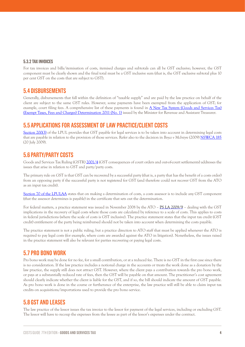#### **5.3.2 TAX INVOICES**

For tax invoices and bills/itemisation of costs, itemised charges and subtotals can all be GST exclusive; however, the GST component must be clearly shown and the final total must be a GST inclusive sum (that is, the GST exclusive subtotal plus 10 per cent GST on the costs that are subject to GST).

#### **5.4 DISBURSEMENTS**

Generally, disbursements that fall within the definition of "taxable supply" and are paid by the law practice on behalf of the client are subject to the same GST rules. However, some payments have been exempted from the application of GST; for example, court filing fees. A comprehensive list of these payments is found in [A New Tax System \(Goods and Services Tax\)](https://www.legislation.gov.au/Details/F2010L03352)  [\(Exempt Taxes, Fees and Charges\) Determination 2011 \(No. 1\)](https://www.legislation.gov.au/Details/F2010L03352) issued by the Minister for Revenue and Assistant Treasurer.

### **5.5 APPLICATIONS FOR ASSESSMENT OF LAW PRACTICE/CLIENT COSTS**

[Section 200\(3\)](http://www.austlii.edu.au/au/legis/nsw/consol_act/lpul333/s200.html) of the LPUL provides that GST payable for legal services is to be taken into account in determining legal costs that are payable in relation to the provision of those services. Refer also to the decision in *Boyce v McIntyre* (2009) [NSWCA 185](https://jade.io/article/96687?at.hl=Boyce+v+McIntyre+(2009)+NSWCA+185+) (20 July 2009).

#### **5.6 PARTY/PARTY COSTS**

Goods and Services Tax Ruling (GSTR) [2001/4](http://law.ato.gov.au/atolaw/view.htm?docid=GST/GSTR20014/NAT/ATO/00001) (GST consequences of court orders and out-of-court settlements) addresses the issues that arise in relation to GST and party/party costs.

The primary rule on GST is that GST can be recovered by a successful party (that is, a party that has the benefit of a costs order) from an opposing party if the successful party is not registered for GST (and therefore could not recover GST from the ATO as an input tax credit).

Section 70 [of the LPULAA](https://www.legislation.nsw.gov.au/#/view/act/2014/16/part7/div2/sec70) states that on making a determination of costs, a costs assessor is to include any GST component (that the assessor determines is payable) in the certificate that sets out the determination.

For federal matters, a practice statement was issued in November 2008 by the ATO – [PS LA 2009/9](http://law.ato.gov.au/atolaw/view.htm?locid=%27PSR/PS20099/NAT/ATO%27&PiT=99991231235958) – dealing with the GST implications in the recovery of legal costs where those costs are calculated by reference to a scale of costs. This applies to costs in federal jurisdictions (where the scale of costs is GST inclusive). The practice statement states that the input tax credit (GST credit) entitlement of the party being reimbursed should not be taken into account when determining the costs payable.

The practice statement is not a public ruling, but a practice direction to ATO staff that must be applied whenever the ATO is required to pay legal costs (for example, where costs are awarded against the ATO in litigation). Nonetheless, the issues raised in the practice statement will also be relevant for parties recovering or paying legal costs.

#### **5.7 PRO BONO WORK**

Pro bono work may be done for no fee, for a small contribution, or at a reduced fee. There is no GST in the first case since there is no consideration. If the law practice includes a notional charge in the accounts or treats the work done as a donation by the law practice, the supply still does not attract GST. However, where the client pays a contribution towards the pro bono work, or pays at a substantially reduced rate of fees, then the GST will be payable on that amount. The practitioner's cost agreement should clearly indicate whether the client is liable for the GST, and if so, the bill should indicate the amount of GST payable. As pro bono work is done in the course or furtherance of the enterprise, the law practice will still be able to claim input tax credits on acquisitions/importations used to provide the pro bono service.

#### **5.8 GST AND LEASES**

The law practice of the lessor issues the tax invoice to the lessor for payment of the legal services, including or excluding GST. The lessor will have to recoup the expenses from the lessee as part of the lessor's expenses under the contract.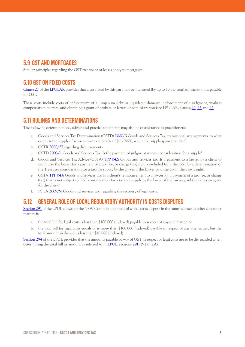# **5.9 GST AND MORTGAGES**

Similar principles regarding the GST treatment of leases apply to mortgages.

## **5.10 GST ON FIXED COSTS**

[Clause 27](http://www.austlii.edu.au/au/legis/nsw/consol_reg/lpular2015497/s27.html) of the [LPULAR](http://www.austlii.edu.au/au/legis/nsw/consol_reg/lpular2015497/) provides that a cost fixed by this part may be increased (by up to 10 per cent) for the amount payable for GST.

These costs include costs of enforcement of a lump sum debt or liquidated damages, enforcement of a judgment, workers compensation matters, and obtaining a grant of probate or letters of administration (see LPULAR, clauses [24](http://www.austlii.edu.au/au/legis/nsw/consol_reg/lpular2015497/s24.html), [25](http://www.austlii.edu.au/au/legis/nsw/consol_reg/lpular2015497/s25.html) and [26](http://www.austlii.edu.au/au/legis/nsw/consol_reg/lpular2015497/s26.html).

## **5.11 RULINGS AND DETERMINATIONS**

The following determinations, advice and practice statements may also be of assistance to practitioners:

- a. Goods and Services Tax Determination (GSTD) [2000/3](http://law.ato.gov.au/atolaw/view.htm?DocID=GSD/GSTD20003/NAT/ATO/00001) Goods and Services Tax: transitional arrangements: to what extent is the supply of services made on or after 1 July 2000, where the supply spans that date?
- b. GSTR [2000/37](https://www.ato.gov.au/law/view/document?docid=GST/GSTR200037/NAT/ATO/00001) regarding disbursements
- c. GSTD [2003/1](http://law.ato.gov.au/atolaw/view.htm?docid=GST/GSTR20031/NAT/ATO/00001) Goods and Services Tax: Is the payment of judgment interest consideration for a supply?
- d. Goods and Services Tax Advice (GSTA) [TPP 042](http://law.ato.gov.au/atolaw/view.htm?rank=find&criteria=OR~GST%2FGSTR200037%2FNAT%2FATO%2F00001~makesref~exact:::OR~GST%2FGSTR200037%2FNAT%2FATO%2F00001(%3F~makesref~exact:::OR~GST%2FGSTR200037~makesref~exact:::OR~GST%2FGSTR200037(%3F~makesref~exact:::OR~GST%2FGSTR200037%2FNAT%2FATO~makesref~exact:::OR~GST%2FGSTR200037%2FNAT%2FATO(%3F~makesref~exact&target=ED&style=java&sdocid=GSA/GSTA042/NAT/ATO/00001&recStart=21&PiT=20090225000001&lookupdocument=GST%2FGSTR200037%2FNAT%2FATO%2F00001&lookupquery=rank%3Dfind%26criteria%3DAND~GST%252FGSTR200037%252FNAT%252FATO~LocID~exact%26style%3Dhtml%26recStart%3D1%26PiT%3D20090225000001&lookuptitles=Rulings~Goods%20and%20Services%20Tax~GSTR%202000%2F37~Goods%20and%20services%20tax%3A%20agency%20relationships%20and%20the%20application%20of%20the%20law%20(As%20at%202%20April%202008)&recnum=33&tot=47&pn=ALL:::ALL): Goods and services tax: Is a payment to a lawyer by a client to reimburse the lawyer for a payment of a tax, fee, or charge (tax) that is excluded from the GST by a determination of the Treasurer consideration for a taxable supply by the lawyer if the lawyer paid the tax in their own right?
- e. GSTA [TPP 043](http://law.ato.gov.au/atolaw/view.htm?locid=%27GSA/GSTA043/NAT/ATO%27&PiT=20060809000001): Goods and services tax: Is a client's reimbursement to a lawyer for a payment of a tax, fee, or charge (tax) that is not subject to GST consideration for a taxable supply by the lawyer if the lawyer paid the tax as an agent for the client?
- f. PS LA [2009/9:](http://law.ato.gov.au/atolaw/view.htm?locid=%27PSR/PS20099/NAT/ATO%27&PiT=99991231235958) Goods and services tax, regarding the recovery of legal costs.

## **5.12 GENERAL ROLE OF LOCAL REGULATORY AUTHORITY IN COSTS DISPUTES**

[Section 291](http://www.austlii.edu.au/au/legis/nsw/consol_act/lpul333/s291.html) of the LPUL allows for the NSW Commissioner to deal with a costs dispute in the same manner as other consumer matters if:

- a. the total bill for legal costs is less than \$100,000 (indexed) payable in respect of any one matter; or
- b. the total bill for legal costs equals or is more than \$100,000 (indexed) payable in respect of any one matter, but the total amount in dispute is less than \$10,000 (indexed).

[Section 294](http://www.austlii.edu.au/au/legis/nsw/consol_act/lpul333/s294.html) of the LPUL provides that the amounts payable by way of GST in respect of legal costs are to be disregarded when determining the total bill or amount as referred to in **[LPUL](http://www.austlii.edu.au/au/legis/nsw/consol_act/lpul333/)**, sections [291](http://www.austlii.edu.au/au/legis/nsw/consol_act/lpul333/s291.html), [292](http://www.austlii.edu.au/au/legis/nsw/consol_act/lpul333/s292.html) or [293.](http://www.austlii.edu.au/au/legis/nsw/consol_act/lpul333/s293.html)